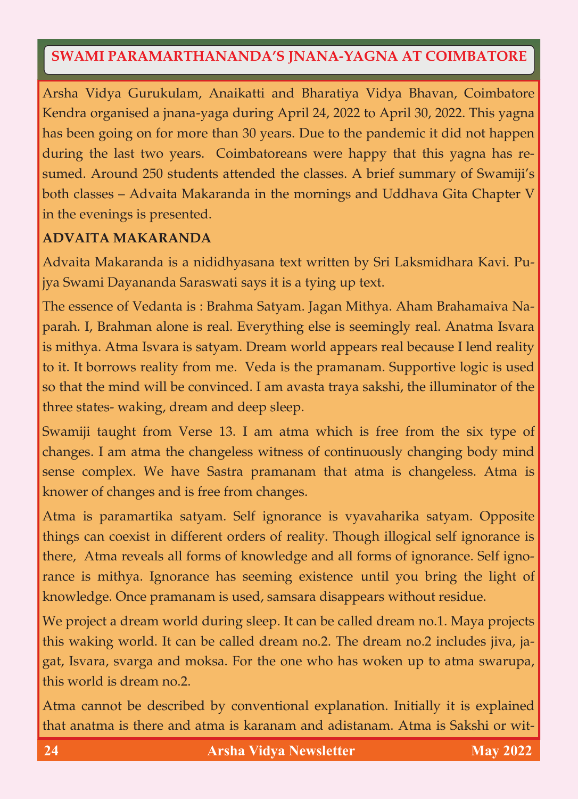## **SWAMI PARAMARTHANANDA'S JNANA-YAGNA AT COIMBATORE**

Arsha Vidya Gurukulam, Anaikatti and Bharatiya Vidya Bhavan, Coimbatore Kendra organised a jnana-yaga during April 24, 2022 to April 30, 2022. This yagna has been going on for more than 30 years. Due to the pandemic it did not happen during the last two years. Coimbatoreans were happy that this yagna has resumed. Around 250 students attended the classes. A brief summary of Swamiji's both classes – Advaita Makaranda in the mornings and Uddhava Gita Chapter V in the evenings is presented.

## **ADVAITA MAKARANDA**

Advaita Makaranda is a nididhyasana text written by Sri Laksmidhara Kavi. Pujya Swami Dayananda Saraswati says it is a tying up text.

The essence of Vedanta is : Brahma Satyam. Jagan Mithya. Aham Brahamaiva Naparah. I, Brahman alone is real. Everything else is seemingly real. Anatma Isvara is mithya. Atma Isvara is satyam. Dream world appears real because I lend reality to it. It borrows reality from me. Veda is the pramanam. Supportive logic is used so that the mind will be convinced. I am avasta traya sakshi, the illuminator of the three states- waking, dream and deep sleep.

Swamiji taught from Verse 13. I am atma which is free from the six type of changes. I am atma the changeless witness of continuously changing body mind sense complex. We have Sastra pramanam that atma is changeless. Atma is knower of changes and is free from changes.

Atma is paramartika satyam. Self ignorance is vyavaharika satyam. Opposite things can coexist in different orders of reality. Though illogical self ignorance is there, Atma reveals all forms of knowledge and all forms of ignorance. Self ignorance is mithya. Ignorance has seeming existence until you bring the light of knowledge. Once pramanam is used, samsara disappears without residue.

We project a dream world during sleep. It can be called dream no.1. Maya projects this waking world. It can be called dream no.2. The dream no.2 includes jiva, jagat, Isvara, svarga and moksa. For the one who has woken up to atma swarupa, this world is dream no.2.

Atma cannot be described by conventional explanation. Initially it is explained that anatma is there and atma is karanam and adistanam. Atma is Sakshi or wit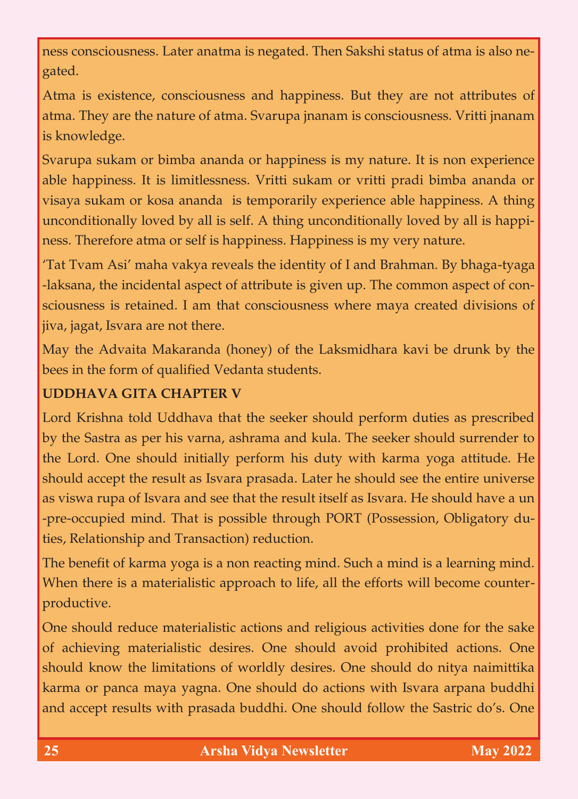ness consciousness. Later anatma is negated. Then Sakshi status of atma is also negated.

Atma is existence, consciousness and happiness. But they are not attributes of atma. They are the nature of atma. Svarupa jnanam is consciousness. Vritti jnanam is knowledge.

Svarupa sukam or bimba ananda or happiness is my nature. It is non experience able happiness. It is limitlessness. Vritti sukam or vritti pradi bimba ananda or visaya sukam or kosa ananda is temporarily experience able happiness. A thing unconditionally loved by all is self. A thing unconditionally loved by all is happiness. Therefore atma or self is happiness. Happiness is my very nature.

'Tat Tvam Asi' maha vakya reveals the identity of I and Brahman. By bhaga-tyaga -laksana, the incidental aspect of attribute is given up. The common aspect of consciousness is retained. I am that consciousness where maya created divisions of jiva, jagat, Isvara are not there.

May the Advaita Makaranda (honey) of the Laksmidhara kavi be drunk by the bees in the form of qualified Vedanta students.

## **UDDHAVA GITA CHAPTER V**

Lord Krishna told Uddhava that the seeker should perform duties as prescribed by the Sastra as per his varna, ashrama and kula. The seeker should surrender to the Lord. One should initially perform his duty with karma yoga attitude. He should accept the result as Isvara prasada. Later he should see the entire universe as viswa rupa of Isvara and see that the result itself as Isvara. He should have a un -pre-occupied mind. That is possible through PORT (Possession, Obligatory duties, Relationship and Transaction) reduction.

The benefit of karma yoga is a non reacting mind. Such a mind is a learning mind. When there is a materialistic approach to life, all the efforts will become counterproductive.

One should reduce materialistic actions and religious activities done for the sake of achieving materialistic desires. One should avoid prohibited actions. One should know the limitations of worldly desires. One should do nitya naimittika karma or panca maya yagna. One should do actions with Isvara arpana buddhi and accept results with prasada buddhi. One should follow the Sastric do's. One